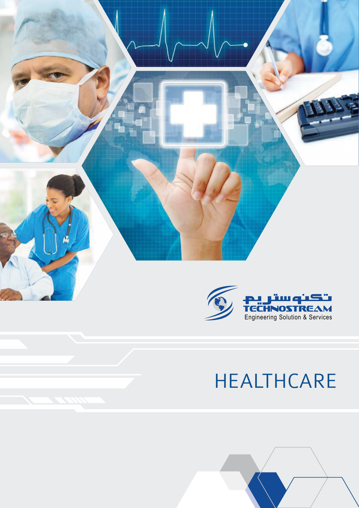

# HEALTHCARE

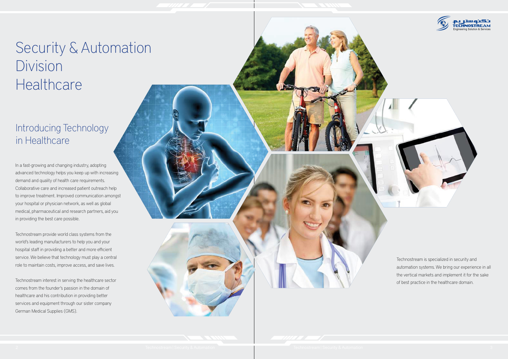## Security & Automation Division **Healthcare**

#### Introducing Technology in Healthcare





In a fast-growing and changing industry, adopting advanced technology helps you keep up with increasing demand and quality of health care requirements. Collaborative care and increased patient outreach help to improve treatment. Improved communication amongst your hospital or physician network, as well as global medical, pharmaceutical and research partners, aid you in providing the best care possible.

Technostream provide world class systems from the world's leading manufacturers to help you and your hospital staff in providing a better and more efficient service. We believe that technology must play a central role to maintain costs, improve access, and save lives.

Technostream interest in serving the healthcare sector comes from the founder's passion in the domain of healthcare and his contribution in providing better services and equipment through our sister company German Medical Supplies (GMS).

Technostream is specialized in security and automation systems. We bring our experience in all the vertical markets and implement it for the sake of best practice in the healthcare domain.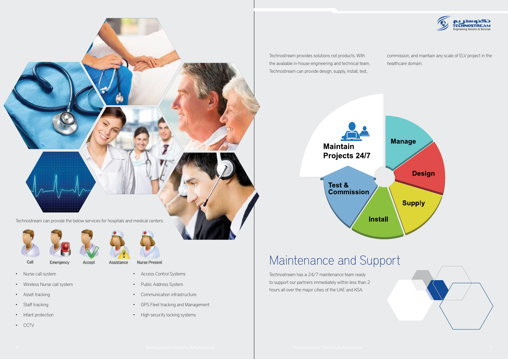#### Maintenance and Support

Technostream has a 24/7 maintenance team ready to support our partners immediately within less than 2 hours all over the major cities of the UAE and KSA.

Technostream provides solutions not products. With the available in-house engineering and technical team, Technostream can provide design, supply, install, test,

# **Maintain** Projects 24/7

Test & **Commission** 

#### **Install**

- Nurse call system
- Wireless Nurse call system

Emergency

Accept

- Asset tracking
- Staff tracking
- Infant protection
- CCTV



- Access Control Systems
- Public Address System
- Communication infrastructure.
- GPS Fleet tracking and Management
- High security locking systems

commission, and maintain any scale of ELV project in the healthcare domain.







Call

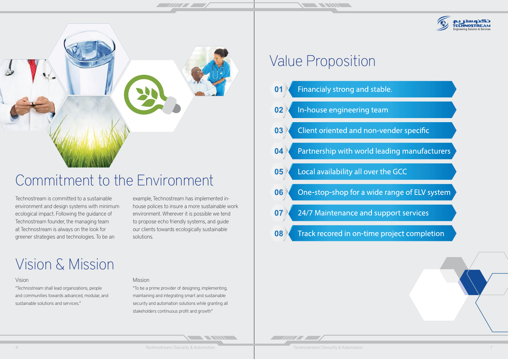### Value Proposition

**THE REAL PROPERTY AND IN** 

| 01 Financialy strong and stabl     |
|------------------------------------|
| 02 In-house engineering team       |
| 03 Client oriented and non-ve      |
| 04 Partnership with world lea      |
| 05 Local availability all over the |
| 06 One-stop-shop for a wide        |
| 07 24/7 Maintenance and sup        |
| 08 Track recored in on-time p      |
|                                    |

<u> Allian de la provincia de la provincia de la provincia de la provincia de la provincia de la provincia de la p</u>

**NEW YORK OF** 

### Vision & Mission



### Commitment to the Environment

#### Vision

"Technostream shall lead organizations, people and communities towards advanced, modular, and sustainable solutions and services."

#### Mission

"To be a prime provider of designing, implementing, maintaining and integrating smart and sustainable security and automation solutions while granting all stakeholders continuous profit and growth"

Technostream is committed to a sustainable environment and design systems with minimum ecological impact. Following the guidance of Technostream founder, the managing team at Technostream is always on the look for greener strategies and technologies. To be an

example, Technostream has implemented inhouse polices to insure a more sustainable work environment. Wherever it is possible we tend to propose echo friendly systems, and guide our clients towards ecologically sustainable solutions.